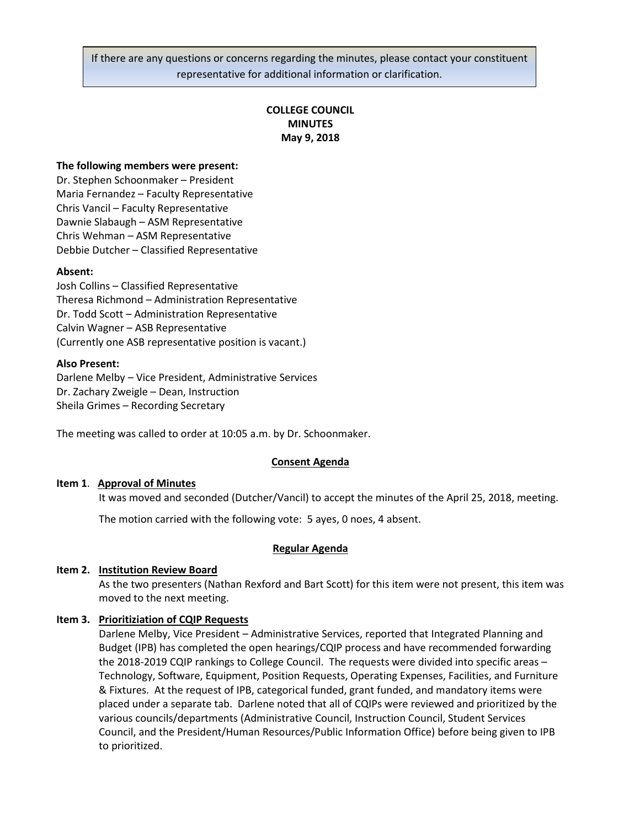If there are any questions or concerns regarding the minutes, please contact your constituent representative for additional information or clarification.

# **COLLEGE COUNCIL MINUTES May 9, 2018**

### **The following members were present:**

Dr. Stephen Schoonmaker – President Maria Fernandez – Faculty Representative Chris Vancil – Faculty Representative Dawnie Slabaugh – ASM Representative Chris Wehman – ASM Representative Debbie Dutcher – Classified Representative

### **Absent:**

Josh Collins – Classified Representative Theresa Richmond – Administration Representative Dr. Todd Scott – Administration Representative Calvin Wagner – ASB Representative (Currently one ASB representative position is vacant.)

#### **Also Present:**

Darlene Melby – Vice President, Administrative Services Dr. Zachary Zweigle – Dean, Instruction Sheila Grimes – Recording Secretary

The meeting was called to order at 10:05 a.m. by Dr. Schoonmaker.

#### **Consent Agenda**

#### **Item 1**. **Approval of Minutes**

It was moved and seconded (Dutcher/Vancil) to accept the minutes of the April 25, 2018, meeting.

The motion carried with the following vote: 5 ayes, 0 noes, 4 absent.

#### **Regular Agenda**

## **Item 2. Institution Review Board**

As the two presenters (Nathan Rexford and Bart Scott) for this item were not present, this item was moved to the next meeting.

## **Item 3. Prioritiziation of CQIP Requests**

Darlene Melby, Vice President – Administrative Services, reported that Integrated Planning and Budget (IPB) has completed the open hearings/CQIP process and have recommended forwarding the 2018-2019 CQIP rankings to College Council. The requests were divided into specific areas – Technology, Software, Equipment, Position Requests, Operating Expenses, Facilities, and Furniture & Fixtures. At the request of IPB, categorical funded, grant funded, and mandatory items were placed under a separate tab. Darlene noted that all of CQIPs were reviewed and prioritized by the various councils/departments (Administrative Council, Instruction Council, Student Services Council, and the President/Human Resources/Public Information Office) before being given to IPB to prioritized.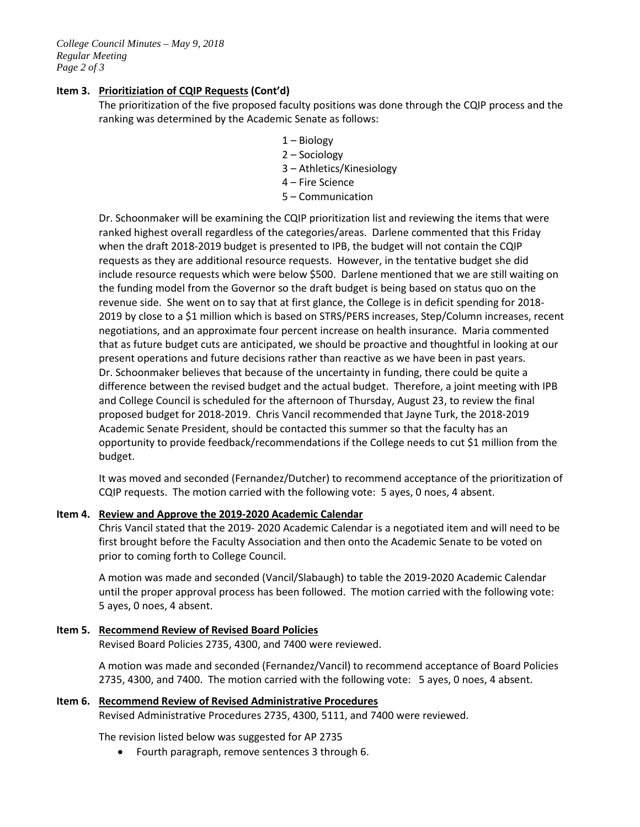# **Item 3. Prioritiziation of CQIP Requests (Cont'd)**

The prioritization of the five proposed faculty positions was done through the CQIP process and the ranking was determined by the Academic Senate as follows:

- 1 Biology
- 2 Sociology
- 3 Athletics/Kinesiology
- 4 Fire Science
- 5 Communication

Dr. Schoonmaker will be examining the CQIP prioritization list and reviewing the items that were ranked highest overall regardless of the categories/areas. Darlene commented that this Friday when the draft 2018-2019 budget is presented to IPB, the budget will not contain the CQIP requests as they are additional resource requests. However, in the tentative budget she did include resource requests which were below \$500. Darlene mentioned that we are still waiting on the funding model from the Governor so the draft budget is being based on status quo on the revenue side. She went on to say that at first glance, the College is in deficit spending for 2018- 2019 by close to a \$1 million which is based on STRS/PERS increases, Step/Column increases, recent negotiations, and an approximate four percent increase on health insurance. Maria commented that as future budget cuts are anticipated, we should be proactive and thoughtful in looking at our present operations and future decisions rather than reactive as we have been in past years. Dr. Schoonmaker believes that because of the uncertainty in funding, there could be quite a difference between the revised budget and the actual budget. Therefore, a joint meeting with IPB and College Council is scheduled for the afternoon of Thursday, August 23, to review the final proposed budget for 2018-2019. Chris Vancil recommended that Jayne Turk, the 2018-2019 Academic Senate President, should be contacted this summer so that the faculty has an opportunity to provide feedback/recommendations if the College needs to cut \$1 million from the budget.

It was moved and seconded (Fernandez/Dutcher) to recommend acceptance of the prioritization of CQIP requests. The motion carried with the following vote: 5 ayes, 0 noes, 4 absent.

## **Item 4. Review and Approve the 2019-2020 Academic Calendar**

Chris Vancil stated that the 2019- 2020 Academic Calendar is a negotiated item and will need to be first brought before the Faculty Association and then onto the Academic Senate to be voted on prior to coming forth to College Council.

A motion was made and seconded (Vancil/Slabaugh) to table the 2019-2020 Academic Calendar until the proper approval process has been followed. The motion carried with the following vote: 5 ayes, 0 noes, 4 absent.

**Item 5. Recommend Review of Revised Board Policies** Revised Board Policies 2735, 4300, and 7400 were reviewed.

> A motion was made and seconded (Fernandez/Vancil) to recommend acceptance of Board Policies 2735, 4300, and 7400. The motion carried with the following vote: 5 ayes, 0 noes, 4 absent.

```
Item 6. Recommend Review of Revised Administrative Procedures
Revised Administrative Procedures 2735, 4300, 5111, and 7400 were reviewed.
```
The revision listed below was suggested for AP 2735

• Fourth paragraph, remove sentences 3 through 6.